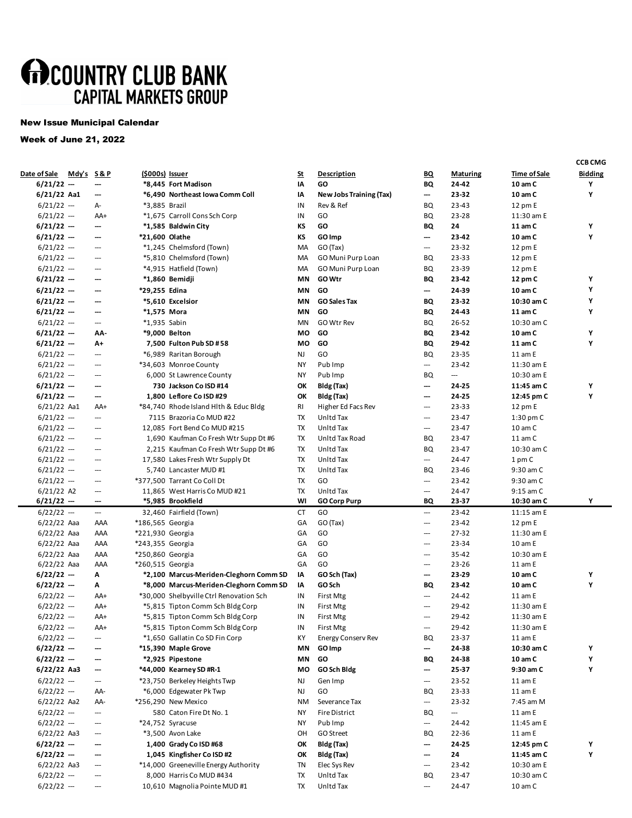## **MOCOUNTRY CLUB BANK**<br>CAPITAL MARKETS GROUP

## New Issue Municipal Calendar

## Week of June 21, 2022

|                     |                      |                          |                  |                                         |           |                                |                          |                          |                     | <b>CCB CMG</b> |
|---------------------|----------------------|--------------------------|------------------|-----------------------------------------|-----------|--------------------------------|--------------------------|--------------------------|---------------------|----------------|
| <u>Date of Sale</u> | <u>Mdy's S&amp;P</u> |                          | (\$000s) Issuer  |                                         | <u>St</u> | <b>Description</b>             | BΩ                       | <b>Maturing</b>          | <b>Time of Sale</b> | <b>Bidding</b> |
| $6/21/22 -$         |                      | ---                      |                  | *8,445 Fort Madison                     | IA        | GO                             | BQ                       | 24-42                    | 10 am C             | Υ              |
| 6/21/22 Aa1         |                      | ---                      |                  | *6,490 Northeast Iowa Comm Coll         | IA        | <b>New Jobs Training (Tax)</b> | ---                      | 23-32                    | 10 am C             | Υ              |
| $6/21/22$ --        |                      | А-                       | *3,885 Brazil    |                                         | IN        | Rev & Ref                      | BQ                       | 23-43                    | 12 pm E             |                |
| $6/21/22$ --        |                      | AA+                      |                  | *1,675 Carroll Cons Sch Corp            | IN        | GO                             | BQ                       | 23-28                    | 11:30 am E          |                |
| 6/21/22 ---         |                      | ---                      |                  | *1,585 Baldwin City                     | КS        | GO                             | BQ                       | 24                       | 11 am C             | Y              |
| $6/21/22 -$         |                      | ---                      | *21,600 Olathe   |                                         | КS        | GO Imp                         | ---                      | 23-42                    | 10 am C             | Υ              |
| $6/21/22 -$         |                      | $\hspace{0.05cm} \cdots$ |                  | *1,245 Chelmsford (Town)                | MA        | GO (Tax)                       | $\hspace{0.05cm} \cdots$ | 23-32                    | 12 pm E             |                |
| $6/21/22 -$         |                      | $\overline{\phantom{a}}$ |                  | *5,810 Chelmsford (Town)                | MA        | GO Muni Purp Loan              | BQ                       | 23-33                    | 12 pm E             |                |
| $6/21/22 -$         |                      | $\hspace{0.05cm} \cdots$ |                  | *4,915 Hatfield (Town)                  | MA        | GO Muni Purp Loan              | BQ                       | 23-39                    | 12 pm E             |                |
| $6/21/22 -$         |                      | ---                      |                  | *1,860 Bemidji                          | ΜN        | GO Wtr                         | BQ                       | 23-42                    | 12 pm C             | Y              |
| $6/21/22 -$         |                      | ---                      | *29,255 Edina    |                                         | ΜN        | GO                             | ---                      | 24-39                    | 10 am C             | Υ              |
| $6/21/22 -$         |                      | ---                      |                  | *5,610 Excelsior                        | ΜN        | <b>GO Sales Tax</b>            | BQ                       | 23-32                    | 10:30 am C          | Y              |
| $6/21/22 -$         |                      | ---                      | *1,575 Mora      |                                         | ΜN        | GO                             | BQ                       | 24-43                    | 11 am C             | Υ              |
| $6/21/22 -$         |                      | $\hspace{0.05cm} \cdots$ | *1,935 Sabin     |                                         | MN        | GO Wtr Rev                     | BQ                       | 26-52                    | 10:30 am C          |                |
| $6/21/22 -$         |                      | AA-                      |                  | *9,000 Belton                           | МO        | GO                             | BQ                       | 23-42                    | 10 am C             | Υ              |
| $6/21/22 -$         |                      | A+                       |                  | 7,500 Fulton Pub SD #58                 | МO        | GO                             | BQ                       | 29-42                    | 11 am C             | Υ              |
| $6/21/22$ --        |                      | $\hspace{0.05cm} \cdots$ |                  | *6,989 Raritan Borough                  | NJ        | GO                             | BQ                       | 23-35                    | 11 am E             |                |
| $6/21/22 -$         |                      | $\hspace{0.05cm} \cdots$ |                  | *34,603 Monroe County                   | ΝY        | Pub Imp                        | $\overline{\phantom{a}}$ | 23-42                    | 11:30 am E          |                |
| $6/21/22 -$         |                      | $\hspace{0.05cm} \cdots$ |                  | 6,000 St Lawrence County                | ΝY        | Pub Imp                        | BQ                       | $\hspace{0.05cm} \cdots$ | 10:30 am E          |                |
| 6/21/22 ---         |                      | ---                      |                  | 730 Jackson Co ISD #14                  | ОК        | Bldg (Tax)                     | ---                      | 24-25                    | 11:45 am C          | Υ              |
| 6/21/22 ---         |                      | ---                      |                  | 1,800 Leflore Co ISD #29                | ОК        | Bldg (Tax)                     | ---                      | 24-25                    | 12:45 pm C          | Υ              |
| $6/21/22$ Aa1       |                      | AA+                      |                  | *84,740 Rhode Island Hith & Educ Bidg   | RI        | Higher Ed Facs Rev             | ---                      | 23-33                    | 12 pm E             |                |
| $6/21/22 -$         |                      | ---                      |                  | 7115 Brazoria Co MUD #22                | TX        | Unitd Tax                      | ---                      | 23-47                    | $1:30$ pm $C$       |                |
| $6/21/22 -$         |                      | $\hspace{0.05cm} \cdots$ |                  | 12,085 Fort Bend Co MUD #215            | TX        | Unitd Tax                      | ---                      | 23-47                    | 10 am C             |                |
| $6/21/22 -$         |                      | $\hspace{0.05cm} \ldots$ |                  | 1,690 Kaufman Co Fresh Wtr Supp Dt #6   | TX        | Unitd Tax Road                 | BQ                       | 23-47                    | $11$ am $C$         |                |
| $6/21/22 -$         |                      | $\overline{\phantom{a}}$ |                  | 2,215 Kaufman Co Fresh Wtr Supp Dt #6   | TX        | Unitd Tax                      | BQ                       | 23-47                    | 10:30 am C          |                |
| $6/21/22 -$         |                      | $\hspace{0.05cm} \ldots$ |                  | 17,580 Lakes Fresh Wtr Supply Dt        | TX        | Unitd Tax                      | ---                      | 24-47                    | 1 pm C              |                |
| $6/21/22 -$         |                      | $\hspace{0.05cm} \cdots$ |                  | 5,740 Lancaster MUD #1                  | TX        | Unitd Tax                      | BQ                       | 23-46                    | 9:30 am C           |                |
| $6/21/22 -$         |                      | $\hspace{0.05cm} \cdots$ |                  | *377,500 Tarrant Co Coll Dt             | TX        | GO                             | ---                      | 23-42                    | 9:30 am C           |                |
| $6/21/22$ A2        |                      | ---                      |                  | 11,865 West Harris Co MUD #21           | <b>TX</b> | Unitd Tax                      | ---                      | 24-47                    | 9:15 am C           |                |
| $6/21/22 -$         |                      | ---                      |                  | *5,985 Brookfield                       | WI        | <b>GO Corp Purp</b>            | BQ                       | 23-37                    | 10:30 am C          | Υ              |
| $6/22/22$ --        |                      | $\overline{\phantom{a}}$ |                  | 32,460 Fairfield (Town)                 | CT        | GO                             | ---                      | 23-42                    | 11:15 am E          |                |
| $6/22/22$ Aaa       |                      | AAA                      | *186,565 Georgia |                                         | GA        | GO (Tax)                       | ---                      | 23-42                    | 12 pm E             |                |
| $6/22/22$ Aaa       |                      | AAA                      | *221,930 Georgia |                                         | GA        | GO                             | ---                      | 27-32                    | 11:30 am E          |                |
| $6/22/22$ Aaa       |                      | AAA                      | *243,355 Georgia |                                         | GA        | GO                             | $\hspace{0.05cm} \cdots$ | 23-34                    | 10 am E             |                |
| $6/22/22$ Aaa       |                      | AAA                      | *250,860 Georgia |                                         | GA        | GO                             | ---                      | 35-42                    | 10:30 am E          |                |
| $6/22/22$ Aaa       |                      | AAA                      | *260,515 Georgia |                                         | GA        | GO                             | ---                      | 23-26                    | 11 am E             |                |
| 6/22/22 ---         |                      | А                        |                  | *2,100 Marcus-Meriden-Cleghorn Comm SD  | IA        | GO Sch (Tax)                   | ---                      | 23-29                    | 10 am C             | Υ              |
| $6/22/22 -$         |                      | А                        |                  | *8,000 Marcus-Meriden-Cleghorn Comm SD  | IA        | GO Sch                         | BQ                       | 23-42                    | 10 am C             | Υ              |
| $6/22/22$ --        |                      | AA+                      |                  | *30,000 Shelbyville Ctrl Renovation Sch | IN        | First Mtg                      | $\hspace{0.05cm} \cdots$ | 24-42                    | 11 am E             |                |
| $6/22/22$ --        |                      | AA+                      |                  | *5,815 Tipton Comm Sch Bldg Corp        | IN        | First Mtg                      | ---                      | 29-42                    | 11:30 am E          |                |
| $6/22/22 -$         |                      | AA+                      |                  | *5,815 Tipton Comm Sch Bldg Corp        | IN        | First Mtg                      | ---                      | 29-42                    | 11:30 am E          |                |
| $6/22/22$ --        |                      | AA+                      |                  | *5,815 Tipton Comm Sch Bldg Corp        | IN        | <b>First Mtg</b>               | ---                      | 29-42                    | 11:30 am E          |                |
| $6/22/22$ --        |                      | ---                      |                  | *1,650 Gallatin Co SD Fin Corp          | КY        | <b>Energy Conserv Rev</b>      | BQ                       | 23-37                    | 11 am E             |                |
| 6/22/22 ---         |                      | ---                      |                  | *15,390 Maple Grove                     | ΜN        | GO Imp                         | ---                      | 24-38                    | 10:30 am C          | Y              |
| $6/22/22 -$         |                      | ---                      |                  | *2,925 Pipestone                        | ΜN        | GO                             | BQ                       | 24-38                    | 10 am C             | Υ              |
| 6/22/22 Aa3         |                      | ---                      |                  | *44,000 Kearney SD #R-1                 | мо        | GO Sch Bldg                    | ---                      | 25-37                    | 9:30 am C           | Υ              |
| $6/22/22$ --        |                      | $\hspace{0.05cm} \cdots$ |                  | *23,750 Berkeley Heights Twp            | NJ        | Gen Imp                        | ---                      | 23-52                    | 11 am E             |                |
| $6/22/22$ --        |                      | AA-                      |                  | *6,000 Edgewater Pk Twp                 | NJ        | GO                             | BQ                       | 23-33                    | 11 am E             |                |
| $6/22/22$ Aa2       |                      | AA-                      |                  | *256,290 New Mexico                     | <b>NM</b> | Severance Tax                  | $\hspace{0.05cm} \cdots$ | 23-32                    | 7:45 am M           |                |
| $6/22/22$ --        |                      | $\hspace{0.05cm} \cdots$ |                  | 580 Caton Fire Dt No. 1                 | ΝY        | <b>Fire District</b>           | BQ                       | $\hspace{0.05cm} \cdots$ | 11 am E             |                |
| $6/22/22$ --        |                      | $\hspace{0.05cm} \ldots$ |                  | *24,752 Syracuse                        | ΝY        | Pub Imp                        | ---                      | 24-42                    | 11:45 am E          |                |
| $6/22/22$ Aa3       |                      | ---                      |                  | *3,500 Avon Lake                        | OH        | GO Street                      | BQ                       | 22-36                    | 11 am E             |                |
| 6/22/22 ---         |                      | ---                      |                  | 1,400 Grady Co ISD #68                  | OK        | Bldg (Tax)                     | ---                      | 24-25                    | 12:45 pm C          | Υ              |
| $6/22/22$ --        |                      | ---                      |                  | 1,045 Kingfisher Co ISD #2              | OK        | Bldg (Tax)                     | ---                      | 24                       | 11:45 am C          | Υ              |
| $6/22/22$ Aa3       |                      | ---                      |                  | *14,000 Greeneville Energy Authority    | TN        | Elec Sys Rev                   | ---                      | 23-42                    | 10:30 am E          |                |
| $6/22/22$ --        |                      | ---                      |                  | 8,000 Harris Co MUD #434                | TX        | Unitd Tax                      | BQ                       | 23-47                    | 10:30 am C          |                |
| $6/22/22$ --        |                      | ---                      |                  | 10,610 Magnolia Pointe MUD #1           | TX        | Unitd Tax                      | ---                      | 24-47                    | 10 am C             |                |
|                     |                      |                          |                  |                                         |           |                                |                          |                          |                     |                |